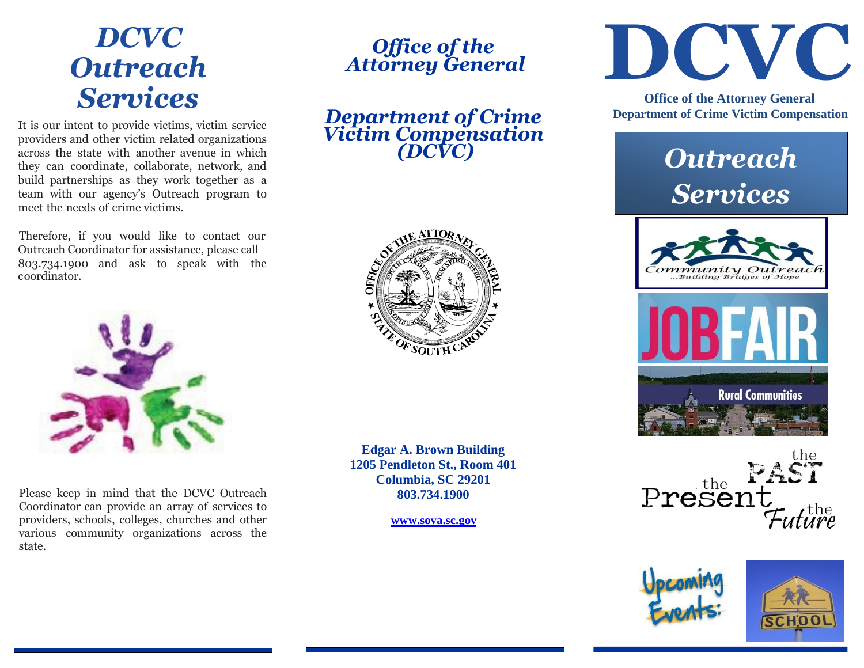# *Outreach Services*

It is our intent to provide victims, victim service providers and other victim related organizations across the state with another avenue in which they can coordinate, collaborate, network, and build partnerships as they work together as a team with our agency's Outreach program to meet the needs of crime victims.

Therefore, if you would like to contact our Outreach Coordinator for assistance, please call 803.734.1900 and ask to speak with the coordinator.



Please keep in mind that the DCVC Outreach Coordinator can provide an array of services to providers, schools, colleges, churches and other various community organizations across the state.

## *Office of the Attorney General*

*Department of Crime Victim Compensation (DCVC)*



**Edgar A. Brown Building 1205 Pendleton St., Room 401 Columbia, SC 29201 803.734.1900**

**[www.sova.sc.gov](http://www.sova.sc.gov/)**



 **Office of the Attorney General Department of Crime Victim Compensation**

## *Outreach Services*